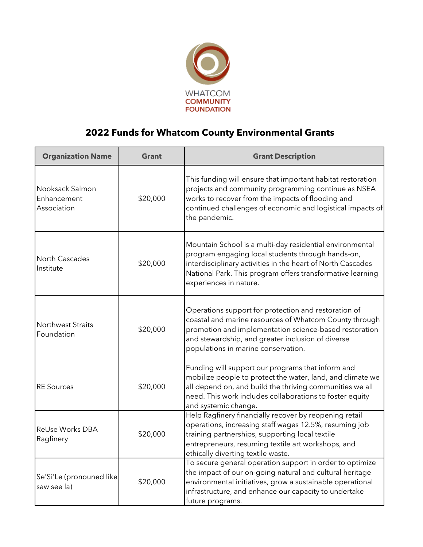

## **2022 Funds for Whatcom County Environmental Grants**

| <b>Organization Name</b>                      | <b>Grant</b> | <b>Grant Description</b>                                                                                                                                                                                                                                             |
|-----------------------------------------------|--------------|----------------------------------------------------------------------------------------------------------------------------------------------------------------------------------------------------------------------------------------------------------------------|
| Nooksack Salmon<br>Enhancement<br>Association | \$20,000     | This funding will ensure that important habitat restoration<br>projects and community programming continue as NSEA<br>works to recover from the impacts of flooding and<br>continued challenges of economic and logistical impacts of<br>the pandemic.               |
| North Cascades<br>Institute                   | \$20,000     | Mountain School is a multi-day residential environmental<br>program engaging local students through hands-on,<br>interdisciplinary activities in the heart of North Cascades<br>National Park. This program offers transformative learning<br>experiences in nature. |
| <b>Northwest Straits</b><br>Foundation        | \$20,000     | Operations support for protection and restoration of<br>coastal and marine resources of Whatcom County through<br>promotion and implementation science-based restoration<br>and stewardship, and greater inclusion of diverse<br>populations in marine conservation. |
| <b>RE Sources</b>                             | \$20,000     | Funding will support our programs that inform and<br>mobilize people to protect the water, land, and climate we<br>all depend on, and build the thriving communities we all<br>need. This work includes collaborations to foster equity<br>and systemic change.      |
| ReUse Works DBA<br>Ragfinery                  | \$20,000     | Help Ragfinery financially recover by reopening retail<br>operations, increasing staff wages 12.5%, resuming job<br>training partnerships, supporting local textile<br>entrepreneurs, resuming textile art workshops, and<br>ethically diverting textile waste.      |
| Se'Si'Le (pronouned like<br>saw see la)       | \$20,000     | To secure general operation support in order to optimize<br>the impact of our on-going natural and cultural heritage<br>environmental initiatives, grow a sustainable operational<br>infrastructure, and enhance our capacity to undertake<br>future programs.       |